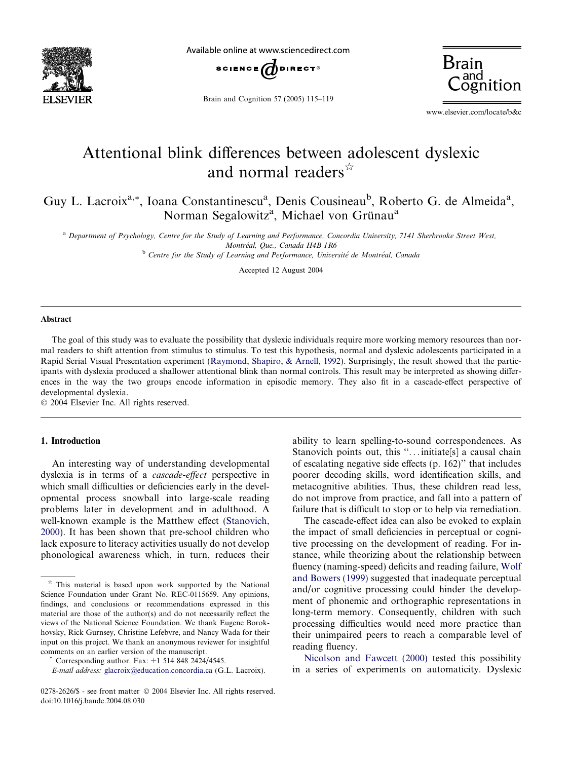

Available online at www.sciencedirect.com



Brain and Cognition 57 (2005) 115–119



www.elsevier.com/locate/b&c

# Attentional blink differences between adolescent dyslexic and normal readers  $\hat{z}$

Guy L. Lacroix<sup>a,\*</sup>, Ioana Constantinescu<sup>a</sup>, Denis Cousineau<sup>b</sup>, Roberto G. de Almeida<sup>a</sup>, Norman Segalowitz<sup>a</sup>, Michael von Grünau<sup>a</sup>

<sup>a</sup> Department of Psychology, Centre for the Study of Learning and Performance, Concordia University, 7141 Sherbrooke Street West, Montréal, Que., Canada H4B 1R6

<sup>b</sup> Centre for the Study of Learning and Performance, Université de Montréal, Canada

Accepted 12 August 2004

### Abstract

The goal of this study was to evaluate the possibility that dyslexic individuals require more working memory resources than normal readers to shift attention from stimulus to stimulus. To test this hypothesis, normal and dyslexic adolescents participated in a Rapid Serial Visual Presentation experiment ([Raymond, Shapiro, & Arnell, 1992\)](#page-3-0). Surprisingly, the result showed that the participants with dyslexia produced a shallower attentional blink than normal controls. This result may be interpreted as showing differences in the way the two groups encode information in episodic memory. They also fit in a cascade-effect perspective of developmental dyslexia.

2004 Elsevier Inc. All rights reserved.

# 1. Introduction

An interesting way of understanding developmental dyslexia is in terms of a cascade-effect perspective in which small difficulties or deficiencies early in the developmental process snowball into large-scale reading problems later in development and in adulthood. A well-known example is the Matthew effect [\(Stanovich,](#page-4-0) [2000](#page-4-0)). It has been shown that pre-school children who lack exposure to literacy activities usually do not develop phonological awareness which, in turn, reduces their

ability to learn spelling-to-sound correspondences. As Stanovich points out, this "...initiate[s] a causal chain of escalating negative side effects (p. 162)'' that includes poorer decoding skills, word identification skills, and metacognitive abilities. Thus, these children read less, do not improve from practice, and fall into a pattern of failure that is difficult to stop or to help via remediation.

The cascade-effect idea can also be evoked to explain the impact of small deficiencies in perceptual or cognitive processing on the development of reading. For instance, while theorizing about the relationship between fluency (naming-speed) deficits and reading failure, [Wolf](#page-4-0) [and Bowers \(1999\)](#page-4-0) suggested that inadequate perceptual and/or cognitive processing could hinder the development of phonemic and orthographic representations in long-term memory. Consequently, children with such processing difficulties would need more practice than their unimpaired peers to reach a comparable level of reading fluency.

[Nicolson and Fawcett \(2000\)](#page-3-0) tested this possibility in a series of experiments on automaticity. Dyslexic

 $*$  This material is based upon work supported by the National Science Foundation under Grant No. REC-0115659. Any opinions, findings, and conclusions or recommendations expressed in this material are those of the author(s) and do not necessarily reflect the views of the National Science Foundation. We thank Eugene Borokhovsky, Rick Gurnsey, Christine Lefebvre, and Nancy Wada for their input on this project. We thank an anonymous reviewer for insightful comments on an earlier version of the manuscript. \* Corresponding author. Fax: +1 514 848 2424/4545.

E-mail address: [glacroix@education.concordia.ca](mailto:glacroix@education.concordia.ca ) (G.L. Lacroix).

<sup>0278-2626/\$ -</sup> see front matter © 2004 Elsevier Inc. All rights reserved. doi:10.1016/j.bandc.2004.08.030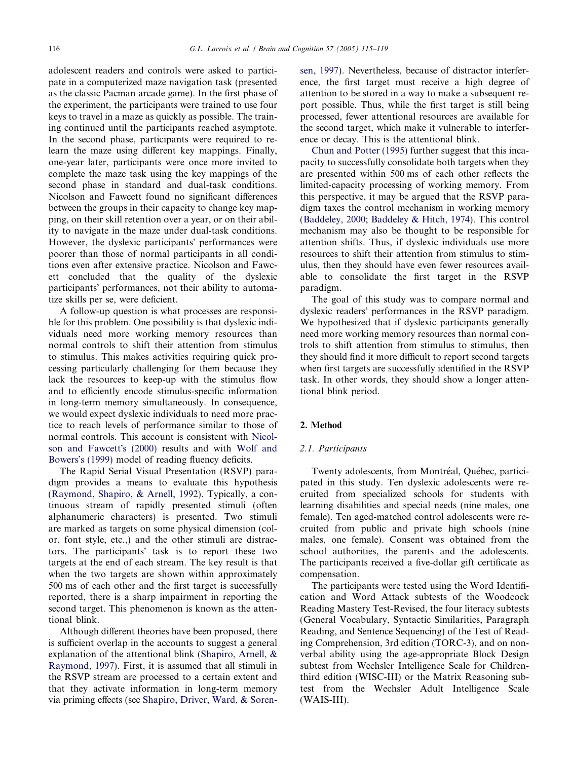adolescent readers and controls were asked to participate in a computerized maze navigation task (presented as the classic Pacman arcade game). In the first phase of the experiment, the participants were trained to use four keys to travel in a maze as quickly as possible. The training continued until the participants reached asymptote. In the second phase, participants were required to relearn the maze using different key mappings. Finally, one-year later, participants were once more invited to complete the maze task using the key mappings of the second phase in standard and dual-task conditions. Nicolson and Fawcett found no significant differences between the groups in their capacity to change key mapping, on their skill retention over a year, or on their ability to navigate in the maze under dual-task conditions. However, the dyslexic participants' performances were poorer than those of normal participants in all conditions even after extensive practice. Nicolson and Fawcett concluded that the quality of the dyslexic participants' performances, not their ability to automatize skills per se, were deficient.

A follow-up question is what processes are responsible for this problem. One possibility is that dyslexic individuals need more working memory resources than normal controls to shift their attention from stimulus to stimulus. This makes activities requiring quick processing particularly challenging for them because they lack the resources to keep-up with the stimulus flow and to efficiently encode stimulus-specific information in long-term memory simultaneously. In consequence, we would expect dyslexic individuals to need more practice to reach levels of performance similar to those of normal controls. This account is consistent with [Nicol](#page-3-0)[son and Fawcett](#page-3-0)'s (2000) results and with [Wolf and](#page-4-0) Bowers'[s \(1999\)](#page-4-0) model of reading fluency deficits.

The Rapid Serial Visual Presentation (RSVP) paradigm provides a means to evaluate this hypothesis ([Raymond, Shapiro, & Arnell, 1992\)](#page-3-0). Typically, a continuous stream of rapidly presented stimuli (often alphanumeric characters) is presented. Two stimuli are marked as targets on some physical dimension (color, font style, etc.,) and the other stimuli are distractors. The participants' task is to report these two targets at the end of each stream. The key result is that when the two targets are shown within approximately 500 ms of each other and the first target is successfully reported, there is a sharp impairment in reporting the second target. This phenomenon is known as the attentional blink.

Although different theories have been proposed, there is sufficient overlap in the accounts to suggest a general explanation of the attentional blink ([Shapiro, Arnell, &](#page-4-0) [Raymond, 1997](#page-4-0)). First, it is assumed that all stimuli in the RSVP stream are processed to a certain extent and that they activate information in long-term memory via priming effects (see [Shapiro, Driver, Ward, & Soren-](#page-4-0) [sen, 1997\)](#page-4-0). Nevertheless, because of distractor interference, the first target must receive a high degree of attention to be stored in a way to make a subsequent report possible. Thus, while the first target is still being processed, fewer attentional resources are available for the second target, which make it vulnerable to interference or decay. This is the attentional blink.

[Chun and Potter \(1995\)](#page-3-0) further suggest that this incapacity to successfully consolidate both targets when they are presented within 500 ms of each other reflects the limited-capacity processing of working memory. From this perspective, it may be argued that the RSVP paradigm taxes the control mechanism in working memory ([Baddeley, 2000;](#page-3-0) [Baddeley & Hitch, 1974\)](#page-3-0). This control mechanism may also be thought to be responsible for attention shifts. Thus, if dyslexic individuals use more resources to shift their attention from stimulus to stimulus, then they should have even fewer resources available to consolidate the first target in the RSVP paradigm.

The goal of this study was to compare normal and dyslexic readers' performances in the RSVP paradigm. We hypothesized that if dyslexic participants generally need more working memory resources than normal controls to shift attention from stimulus to stimulus, then they should find it more difficult to report second targets when first targets are successfully identified in the RSVP task. In other words, they should show a longer attentional blink period.

## 2. Method

#### 2.1. Participants

Twenty adolescents, from Montréal, Québec, participated in this study. Ten dyslexic adolescents were recruited from specialized schools for students with learning disabilities and special needs (nine males, one female). Ten aged-matched control adolescents were recruited from public and private high schools (nine males, one female). Consent was obtained from the school authorities, the parents and the adolescents. The participants received a five-dollar gift certificate as compensation.

The participants were tested using the Word Identification and Word Attack subtests of the Woodcock Reading Mastery Test-Revised, the four literacy subtests (General Vocabulary, Syntactic Similarities, Paragraph Reading, and Sentence Sequencing) of the Test of Reading Comprehension, 3rd edition (TORC-3), and on nonverbal ability using the age-appropriate Block Design subtest from Wechsler Intelligence Scale for Childrenthird edition (WISC-III) or the Matrix Reasoning subtest from the Wechsler Adult Intelligence Scale (WAIS-III).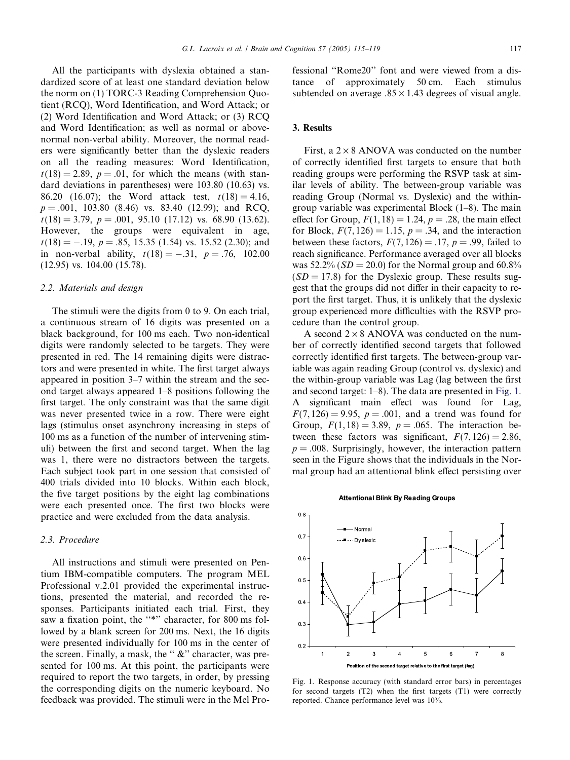All the participants with dyslexia obtained a standardized score of at least one standard deviation below the norm on (1) TORC-3 Reading Comprehension Quotient (RCQ), Word Identification, and Word Attack; or (2) Word Identification and Word Attack; or (3) RCQ and Word Identification; as well as normal or abovenormal non-verbal ability. Moreover, the normal readers were significantly better than the dyslexic readers on all the reading measures: Word Identification,  $t(18) = 2.89$ ,  $p = .01$ , for which the means (with standard deviations in parentheses) were 103.80 (10.63) vs. 86.20 (16.07); the Word attack test,  $t(18) = 4.16$ ,  $p = .001, 103.80$  (8.46) vs. 83.40 (12.99); and RCQ,  $t(18) = 3.79$ ,  $p = .001$ , 95.10 (17.12) vs. 68.90 (13.62). However, the groups were equivalent in age,  $t(18) = -.19$ ,  $p = .85$ , 15.35 (1.54) vs. 15.52 (2.30); and in non-verbal ability,  $t(18) = -.31$ ,  $p = .76$ , 102.00 (12.95) vs. 104.00 (15.78).

#### 2.2. Materials and design

The stimuli were the digits from 0 to 9. On each trial, a continuous stream of 16 digits was presented on a black background, for 100 ms each. Two non-identical digits were randomly selected to be targets. They were presented in red. The 14 remaining digits were distractors and were presented in white. The first target always appeared in position 3–7 within the stream and the second target always appeared 1–8 positions following the first target. The only constraint was that the same digit was never presented twice in a row. There were eight lags (stimulus onset asynchrony increasing in steps of 100 ms as a function of the number of intervening stimuli) between the first and second target. When the lag was 1, there were no distractors between the targets. Each subject took part in one session that consisted of 400 trials divided into 10 blocks. Within each block, the five target positions by the eight lag combinations were each presented once. The first two blocks were practice and were excluded from the data analysis.

# 2.3. Procedure

All instructions and stimuli were presented on Pentium IBM-compatible computers. The program MEL Professional v.2.01 provided the experimental instructions, presented the material, and recorded the responses. Participants initiated each trial. First, they saw a fixation point, the "\*" character, for 800 ms followed by a blank screen for 200 ms. Next, the 16 digits were presented individually for 100 ms in the center of the screen. Finally, a mask, the "  $\&$ " character, was presented for 100 ms. At this point, the participants were required to report the two targets, in order, by pressing the corresponding digits on the numeric keyboard. No feedback was provided. The stimuli were in the Mel Professional ''Rome20'' font and were viewed from a distance of approximately 50 cm. Each stimulus subtended on average  $.85 \times 1.43$  degrees of visual angle.

# 3. Results

First, a  $2 \times 8$  ANOVA was conducted on the number of correctly identified first targets to ensure that both reading groups were performing the RSVP task at similar levels of ability. The between-group variable was reading Group (Normal vs. Dyslexic) and the withingroup variable was experimental Block (1–8). The main effect for Group,  $F(1, 18) = 1.24$ ,  $p = .28$ , the main effect for Block,  $F(7, 126) = 1.15$ ,  $p = .34$ , and the interaction between these factors,  $F(7, 126) = .17$ ,  $p = .99$ , failed to reach significance. Performance averaged over all blocks was  $52.2\%$  ( $SD = 20.0$ ) for the Normal group and 60.8%  $(SD = 17.8)$  for the Dyslexic group. These results suggest that the groups did not differ in their capacity to report the first target. Thus, it is unlikely that the dyslexic group experienced more difficulties with the RSVP procedure than the control group.

A second  $2 \times 8$  ANOVA was conducted on the number of correctly identified second targets that followed correctly identified first targets. The between-group variable was again reading Group (control vs. dyslexic) and the within-group variable was Lag (lag between the first and second target: 1–8). The data are presented in Fig. 1. A significant main effect was found for Lag,  $F(7, 126) = 9.95$ ,  $p = .001$ , and a trend was found for Group,  $F(1, 18) = 3.89$ ,  $p = .065$ . The interaction between these factors was significant,  $F(7, 126) = 2.86$ ,  $p = .008$ . Surprisingly, however, the interaction pattern seen in the Figure shows that the individuals in the Normal group had an attentional blink effect persisting over

#### **Attentional Blink By Reading Groups**



Fig. 1. Response accuracy (with standard error bars) in percentages for second targets (T2) when the first targets (T1) were correctly reported. Chance performance level was 10%.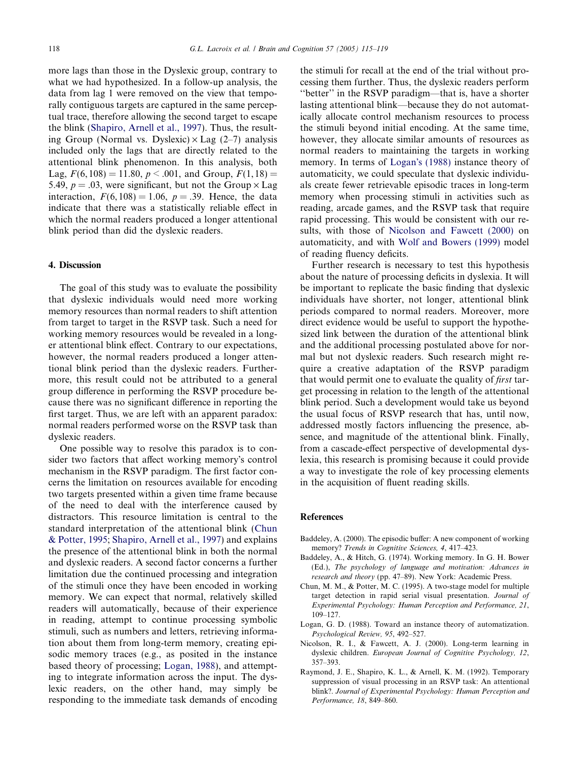<span id="page-3-0"></span>more lags than those in the Dyslexic group, contrary to what we had hypothesized. In a follow-up analysis, the data from lag 1 were removed on the view that temporally contiguous targets are captured in the same perceptual trace, therefore allowing the second target to escape the blink ([Shapiro, Arnell et al., 1997\)](#page-4-0). Thus, the resulting Group (Normal vs. Dyslexic)  $\times$  Lag (2–7) analysis included only the lags that are directly related to the attentional blink phenomenon. In this analysis, both Lag,  $F(6, 108) = 11.80, p < .001$ , and Group,  $F(1, 18) =$ 5.49,  $p = .03$ , were significant, but not the Group  $\times$  Lag interaction,  $F(6, 108) = 1.06$ ,  $p = .39$ . Hence, the data indicate that there was a statistically reliable effect in which the normal readers produced a longer attentional blink period than did the dyslexic readers.

### 4. Discussion

The goal of this study was to evaluate the possibility that dyslexic individuals would need more working memory resources than normal readers to shift attention from target to target in the RSVP task. Such a need for working memory resources would be revealed in a longer attentional blink effect. Contrary to our expectations, however, the normal readers produced a longer attentional blink period than the dyslexic readers. Furthermore, this result could not be attributed to a general group difference in performing the RSVP procedure because there was no significant difference in reporting the first target. Thus, we are left with an apparent paradox: normal readers performed worse on the RSVP task than dyslexic readers.

One possible way to resolve this paradox is to consider two factors that affect working memory's control mechanism in the RSVP paradigm. The first factor concerns the limitation on resources available for encoding two targets presented within a given time frame because of the need to deal with the interference caused by distractors. This resource limitation is central to the standard interpretation of the attentional blink (Chun & Potter, 1995; [Shapiro, Arnell et al., 1997\)](#page-4-0) and explains the presence of the attentional blink in both the normal and dyslexic readers. A second factor concerns a further limitation due the continued processing and integration of the stimuli once they have been encoded in working memory. We can expect that normal, relatively skilled readers will automatically, because of their experience in reading, attempt to continue processing symbolic stimuli, such as numbers and letters, retrieving information about them from long-term memory, creating episodic memory traces (e.g., as posited in the instance based theory of processing; Logan, 1988), and attempting to integrate information across the input. The dyslexic readers, on the other hand, may simply be responding to the immediate task demands of encoding

the stimuli for recall at the end of the trial without processing them further. Thus, the dyslexic readers perform ''better'' in the RSVP paradigm—that is, have a shorter lasting attentional blink—because they do not automatically allocate control mechanism resources to process the stimuli beyond initial encoding. At the same time, however, they allocate similar amounts of resources as normal readers to maintaining the targets in working memory. In terms of Logan's (1988) instance theory of automaticity, we could speculate that dyslexic individuals create fewer retrievable episodic traces in long-term memory when processing stimuli in activities such as reading, arcade games, and the RSVP task that require rapid processing. This would be consistent with our results, with those of Nicolson and Fawcett (2000) on automaticity, and with [Wolf and Bowers \(1999\)](#page-4-0) model of reading fluency deficits.

Further research is necessary to test this hypothesis about the nature of processing deficits in dyslexia. It will be important to replicate the basic finding that dyslexic individuals have shorter, not longer, attentional blink periods compared to normal readers. Moreover, more direct evidence would be useful to support the hypothesized link between the duration of the attentional blink and the additional processing postulated above for normal but not dyslexic readers. Such research might require a creative adaptation of the RSVP paradigm that would permit one to evaluate the quality of first target processing in relation to the length of the attentional blink period. Such a development would take us beyond the usual focus of RSVP research that has, until now, addressed mostly factors influencing the presence, absence, and magnitude of the attentional blink. Finally, from a cascade-effect perspective of developmental dyslexia, this research is promising because it could provide a way to investigate the role of key processing elements in the acquisition of fluent reading skills.

# References

- Baddeley, A. (2000). The episodic buffer: A new component of working memory? Trends in Cognitive Sciences, 4, 417-423.
- Baddeley, A., & Hitch, G. (1974). Working memory. In G. H. Bower (Ed.), The psychology of language and motivation: Advances in research and theory (pp. 47–89). New York: Academic Press.
- Chun, M. M., & Potter, M. C. (1995). A two-stage model for multiple target detection in rapid serial visual presentation. Journal of Experimental Psychology: Human Perception and Performance, 21, 109–127.
- Logan, G. D. (1988). Toward an instance theory of automatization. Psychological Review, 95, 492–527.
- Nicolson, R. I., & Fawcett, A. J. (2000). Long-term learning in dyslexic children. European Journal of Cognitive Psychology, 12, 357–393.
- Raymond, J. E., Shapiro, K. L., & Arnell, K. M. (1992). Temporary suppression of visual processing in an RSVP task: An attentional blink?. Journal of Experimental Psychology: Human Perception and Performance, 18, 849–860.